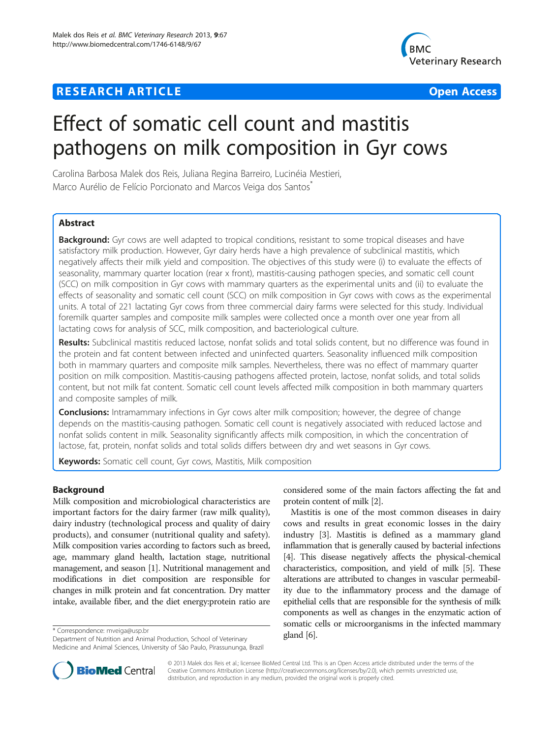# **RESEARCH ARTICLE Example 2014 12:30 THE Open Access**



# Effect of somatic cell count and mastitis pathogens on milk composition in Gyr cows

Carolina Barbosa Malek dos Reis, Juliana Regina Barreiro, Lucinéia Mestieri, Marco Aurélio de Felício Porcionato and Marcos Veiga dos Santos<sup>\*</sup>

# **Abstract**

Background: Gyr cows are well adapted to tropical conditions, resistant to some tropical diseases and have satisfactory milk production. However, Gyr dairy herds have a high prevalence of subclinical mastitis, which negatively affects their milk yield and composition. The objectives of this study were (i) to evaluate the effects of seasonality, mammary quarter location (rear x front), mastitis-causing pathogen species, and somatic cell count (SCC) on milk composition in Gyr cows with mammary quarters as the experimental units and (ii) to evaluate the effects of seasonality and somatic cell count (SCC) on milk composition in Gyr cows with cows as the experimental units. A total of 221 lactating Gyr cows from three commercial dairy farms were selected for this study. Individual foremilk quarter samples and composite milk samples were collected once a month over one year from all lactating cows for analysis of SCC, milk composition, and bacteriological culture.

Results: Subclinical mastitis reduced lactose, nonfat solids and total solids content, but no difference was found in the protein and fat content between infected and uninfected quarters. Seasonality influenced milk composition both in mammary quarters and composite milk samples. Nevertheless, there was no effect of mammary quarter position on milk composition. Mastitis-causing pathogens affected protein, lactose, nonfat solids, and total solids content, but not milk fat content. Somatic cell count levels affected milk composition in both mammary quarters and composite samples of milk.

**Conclusions:** Intramammary infections in Gyr cows alter milk composition; however, the degree of change depends on the mastitis-causing pathogen. Somatic cell count is negatively associated with reduced lactose and nonfat solids content in milk. Seasonality significantly affects milk composition, in which the concentration of lactose, fat, protein, nonfat solids and total solids differs between dry and wet seasons in Gyr cows.

Keywords: Somatic cell count, Gyr cows, Mastitis, Milk composition

# Background

Milk composition and microbiological characteristics are important factors for the dairy farmer (raw milk quality), dairy industry (technological process and quality of dairy products), and consumer (nutritional quality and safety). Milk composition varies according to factors such as breed, age, mammary gland health, lactation stage, nutritional management, and season [\[1](#page-6-0)]. Nutritional management and modifications in diet composition are responsible for changes in milk protein and fat concentration. Dry matter intake, available fiber, and the diet energy:protein ratio are

\* Correspondence: [mveiga@usp.br](mailto:mveiga@usp.br)<br>Department of Nutrition and Animal Production, School of Veterinary **gland [[6](#page-6-0)].** Medicine and Animal Sciences, University of São Paulo, Pirassununga, Brazil

considered some of the main factors affecting the fat and protein content of milk [\[2\]](#page-6-0).

Mastitis is one of the most common diseases in dairy cows and results in great economic losses in the dairy industry [\[3](#page-6-0)]. Mastitis is defined as a mammary gland inflammation that is generally caused by bacterial infections [[4](#page-6-0)]. This disease negatively affects the physical-chemical characteristics, composition, and yield of milk [[5](#page-6-0)]. These alterations are attributed to changes in vascular permeability due to the inflammatory process and the damage of epithelial cells that are responsible for the synthesis of milk components as well as changes in the enzymatic action of somatic cells or microorganisms in the infected mammary



© 2013 Malek dos Reis et al.; licensee BioMed Central Ltd. This is an Open Access article distributed under the terms of the Creative Commons Attribution License (<http://creativecommons.org/licenses/by/2.0>), which permits unrestricted use, distribution, and reproduction in any medium, provided the original work is properly cited.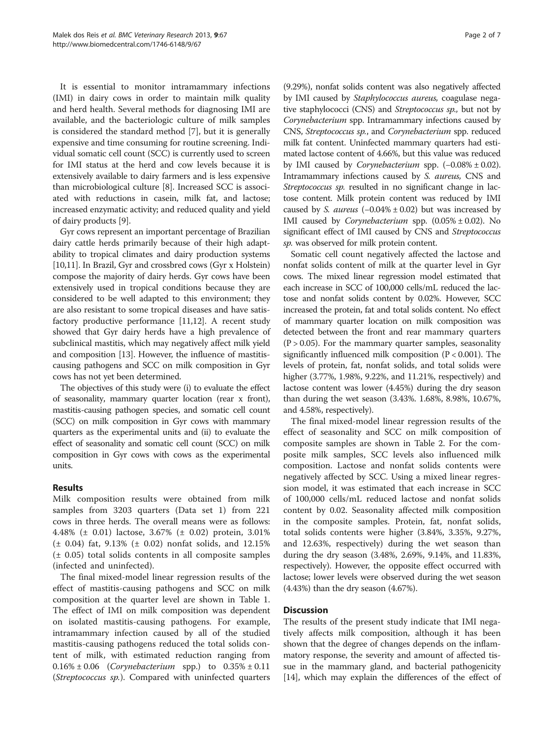It is essential to monitor intramammary infections (IMI) in dairy cows in order to maintain milk quality and herd health. Several methods for diagnosing IMI are available, and the bacteriologic culture of milk samples is considered the standard method [[7\]](#page-6-0), but it is generally expensive and time consuming for routine screening. Individual somatic cell count (SCC) is currently used to screen for IMI status at the herd and cow levels because it is extensively available to dairy farmers and is less expensive than microbiological culture [[8](#page-6-0)]. Increased SCC is associated with reductions in casein, milk fat, and lactose; increased enzymatic activity; and reduced quality and yield of dairy products [[9](#page-6-0)].

Gyr cows represent an important percentage of Brazilian dairy cattle herds primarily because of their high adaptability to tropical climates and dairy production systems [[10,11](#page-6-0)]. In Brazil, Gyr and crossbred cows (Gyr x Holstein) compose the majority of dairy herds. Gyr cows have been extensively used in tropical conditions because they are considered to be well adapted to this environment; they are also resistant to some tropical diseases and have satisfactory productive performance [[11,12\]](#page-6-0). A recent study showed that Gyr dairy herds have a high prevalence of subclinical mastitis, which may negatively affect milk yield and composition [[13](#page-6-0)]. However, the influence of mastitiscausing pathogens and SCC on milk composition in Gyr cows has not yet been determined.

The objectives of this study were (i) to evaluate the effect of seasonality, mammary quarter location (rear x front), mastitis-causing pathogen species, and somatic cell count (SCC) on milk composition in Gyr cows with mammary quarters as the experimental units and (ii) to evaluate the effect of seasonality and somatic cell count (SCC) on milk composition in Gyr cows with cows as the experimental units.

# Results

Milk composition results were obtained from milk samples from 3203 quarters (Data set 1) from 221 cows in three herds. The overall means were as follows: 4.48% (± 0.01) lactose, 3.67% (± 0.02) protein, 3.01%  $(\pm 0.04)$  fat, 9.13%  $(\pm 0.02)$  nonfat solids, and 12.15% (± 0.05) total solids contents in all composite samples (infected and uninfected).

The final mixed-model linear regression results of the effect of mastitis-causing pathogens and SCC on milk composition at the quarter level are shown in Table [1](#page-2-0). The effect of IMI on milk composition was dependent on isolated mastitis-causing pathogens. For example, intramammary infection caused by all of the studied mastitis-causing pathogens reduced the total solids content of milk, with estimated reduction ranging from  $0.16\% \pm 0.06$  (*Corynebacterium* spp.) to  $0.35\% \pm 0.11$ (Streptococcus sp.). Compared with uninfected quarters

(9.29%), nonfat solids content was also negatively affected by IMI caused by Staphylococcus aureus, coagulase negative staphylococci (CNS) and Streptococcus sp., but not by Corynebacterium spp. Intramammary infections caused by CNS, Streptococcus sp., and Corynebacterium spp. reduced milk fat content. Uninfected mammary quarters had estimated lactose content of 4.66%, but this value was reduced by IMI caused by *Corynebacterium* spp.  $(-0.08\% \pm 0.02)$ . Intramammary infections caused by S. aureus, CNS and Streptococcus sp. resulted in no significant change in lactose content. Milk protein content was reduced by IMI caused by S. aureus  $(-0.04\% \pm 0.02)$  but was increased by IMI caused by *Corynebacterium* spp.  $(0.05\% \pm 0.02)$ . No significant effect of IMI caused by CNS and Streptococcus sp. was observed for milk protein content.

Somatic cell count negatively affected the lactose and nonfat solids content of milk at the quarter level in Gyr cows. The mixed linear regression model estimated that each increase in SCC of 100,000 cells/mL reduced the lactose and nonfat solids content by 0.02%. However, SCC increased the protein, fat and total solids content. No effect of mammary quarter location on milk composition was detected between the front and rear mammary quarters  $(P > 0.05)$ . For the mammary quarter samples, seasonality significantly influenced milk composition (P < 0.001). The levels of protein, fat, nonfat solids, and total solids were higher (3.77%, 1.98%, 9.22%, and 11.21%, respectively) and lactose content was lower (4.45%) during the dry season than during the wet season (3.43%. 1.68%, 8.98%, 10.67%, and 4.58%, respectively).

The final mixed-model linear regression results of the effect of seasonality and SCC on milk composition of composite samples are shown in Table [2](#page-3-0). For the composite milk samples, SCC levels also influenced milk composition. Lactose and nonfat solids contents were negatively affected by SCC. Using a mixed linear regression model, it was estimated that each increase in SCC of 100,000 cells/mL reduced lactose and nonfat solids content by 0.02. Seasonality affected milk composition in the composite samples. Protein, fat, nonfat solids, total solids contents were higher (3.84%, 3.35%, 9.27%, and 12.63%, respectively) during the wet season than during the dry season (3.48%, 2.69%, 9.14%, and 11.83%, respectively). However, the opposite effect occurred with lactose; lower levels were observed during the wet season (4.43%) than the dry season (4.67%).

# **Discussion**

The results of the present study indicate that IMI negatively affects milk composition, although it has been shown that the degree of changes depends on the inflammatory response, the severity and amount of affected tissue in the mammary gland, and bacterial pathogenicity [[14](#page-6-0)], which may explain the differences of the effect of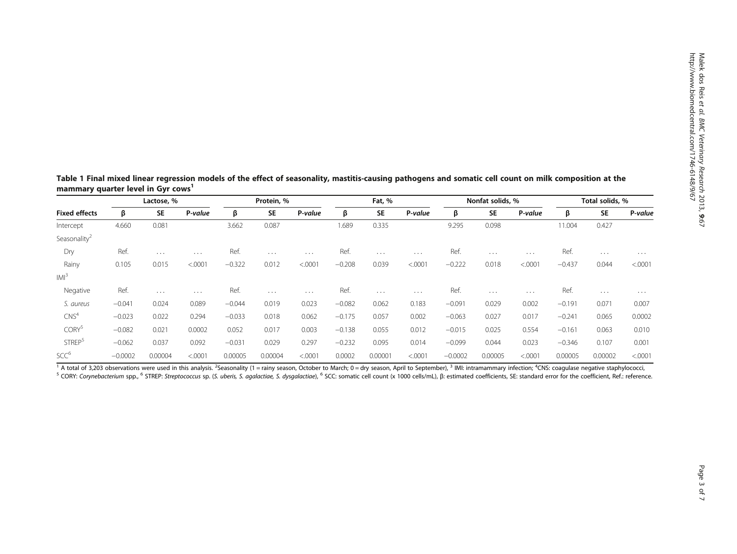<span id="page-2-0"></span>Table 1 Final mixed linear regression models of the effect of seasonality, mastitis-causing pathogens and somatic cell count on milk composition at the mammary quarter level in Gyr cows<sup>1</sup>

| <b>Fixed effects</b>     | Lactose, % |           |          | Protein, % |           |          | Fat, %   |           |          | Nonfat solids, % |           |          | Total solids, % |           |          |
|--------------------------|------------|-----------|----------|------------|-----------|----------|----------|-----------|----------|------------------|-----------|----------|-----------------|-----------|----------|
|                          | β          | <b>SE</b> | P-value  | β          | <b>SE</b> | P-value  | β        | <b>SE</b> | P-value  | ß                | <b>SE</b> | P-value  | β               | <b>SE</b> | P-value  |
| Intercept                | 4.660      | 0.081     |          | 3.662      | 0.087     |          | 1.689    | 0.335     |          | 9.295            | 0.098     |          | 11.004          | 0.427     |          |
| Seasonality <sup>2</sup> |            |           |          |            |           |          |          |           |          |                  |           |          |                 |           |          |
| Dry                      | Ref.       | $\cdots$  | $\cdots$ | Ref.       | $\cdots$  | $\cdots$ | Ref.     | $\cdots$  | $\cdots$ | Ref.             | $\cdots$  | $\cdots$ | Ref.            | $\cdots$  | $\cdots$ |
| Rainy                    | 0.105      | 0.015     | < .0001  | $-0.322$   | 0.012     | < .0001  | $-0.208$ | 0.039     | < .0001  | $-0.222$         | 0.018     | < .0001  | $-0.437$        | 0.044     | < .0001  |
| IM <sup>3</sup>          |            |           |          |            |           |          |          |           |          |                  |           |          |                 |           |          |
| Negative                 | Ref.       | $\cdots$  | $\cdots$ | Ref.       | $\cdots$  | $\cdots$ | Ref.     | $\cdots$  | $\cdots$ | Ref.             | $\cdots$  | $\cdots$ | Ref.            | $\cdots$  | $\cdots$ |
| S. aureus                | $-0.041$   | 0.024     | 0.089    | $-0.044$   | 0.019     | 0.023    | $-0.082$ | 0.062     | 0.183    | $-0.091$         | 0.029     | 0.002    | $-0.191$        | 0.071     | 0.007    |
| CNS <sup>4</sup>         | $-0.023$   | 0.022     | 0.294    | $-0.033$   | 0.018     | 0.062    | $-0.175$ | 0.057     | 0.002    | $-0.063$         | 0.027     | 0.017    | $-0.241$        | 0.065     | 0.0002   |
| CORY <sup>5</sup>        | $-0.082$   | 0.021     | 0.0002   | 0.052      | 0.017     | 0.003    | $-0.138$ | 0.055     | 0.012    | $-0.015$         | 0.025     | 0.554    | $-0.161$        | 0.063     | 0.010    |
| STREP <sup>5</sup>       | $-0.062$   | 0.037     | 0.092    | $-0.031$   | 0.029     | 0.297    | $-0.232$ | 0.095     | 0.014    | $-0.099$         | 0.044     | 0.023    | $-0.346$        | 0.107     | 0.001    |
| SCC <sup>6</sup>         | $-0.0002$  | 0.00004   | < .0001  | 0.00005    | 0.00004   | < .0001  | 0.0002   | 0.00001   | < .0001  | $-0.0002$        | 0.00005   | < .0001  | 0.00005         | 0.00002   | < .0001  |

<sup>1</sup> A total of 3,203 observations were used in this analysis. <sup>2</sup>Seasonality (1 = rainy season, October to March; 0 = dry season, April to September), <sup>3</sup> IMI: intramammary infection; <sup>4</sup> FORM: Corynebacterium spp., 6 STREP: Streptococcus sp. (S. uberis, S. agalactiae, S. dysgalactiae), 6 SCC: somatic cell count (x 1000 cells/mL), B: estimated coefficients, SE: standard error for the coefficient, Ref.: refe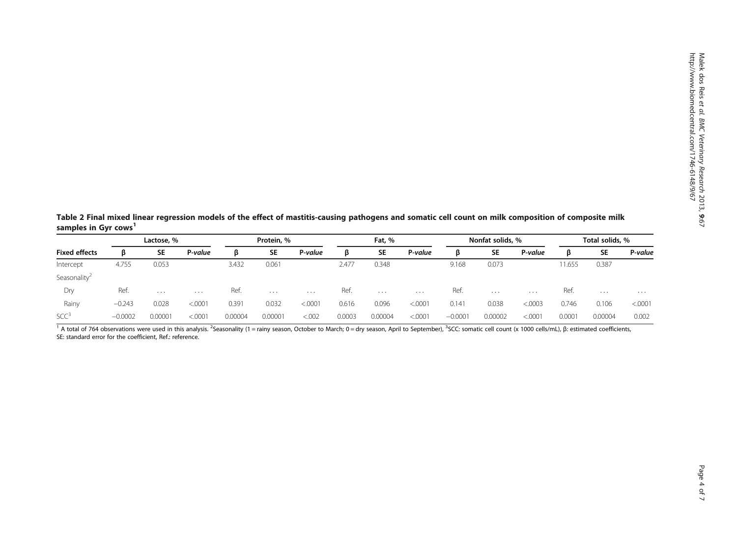<span id="page-3-0"></span>Table 2 Final mixed linear regression models of the effect of mastitis-causing pathogens and somatic cell count on milk composition of composite milk samples in Gyr cows<sup>1</sup>

| <b>Fixed effects</b>     | Lactose, % |           |          | Protein, % |           |          | Fat, % |           |          | Nonfat solids, % |           |          | Total solids, % |           |          |
|--------------------------|------------|-----------|----------|------------|-----------|----------|--------|-----------|----------|------------------|-----------|----------|-----------------|-----------|----------|
|                          | ß          | <b>SE</b> | P-value  | ß          | <b>SE</b> | P-value  | ß      | <b>SE</b> | P-value  | в                | <b>SE</b> | P-value  | ß               | <b>SE</b> | P-value  |
| Intercept                | 4.755      | 0.053     |          | 3.432      | 0.061     |          | 2.477  | 0.348     |          | 9.168            | 0.073     |          | 11.655          | 0.387     |          |
| Seasonality <sup>2</sup> |            |           |          |            |           |          |        |           |          |                  |           |          |                 |           |          |
| Dry                      | Ref.       | $\cdots$  | $\cdots$ | Ref.       | $\cdots$  | $\cdots$ | Ref.   | $\cdots$  | $\cdots$ | Ref.             | $\cdots$  | $\cdots$ | Ref.            | $\cdots$  | $\cdots$ |
| Rainy                    | $-0.243$   | 0.028     | < .0001  | 0.391      | 0.032     | < .0001  | 0.616  | 0.096     | < .0001  | 0.141            | 0.038     | < 0003   | 0.746           | 0.106     | < .0001  |
| SCC <sup>3</sup>         | $-0.0002$  | 0.00001   | < .0001  | 0.00004    | 0.00001   | < .002   | 0.0003 | 0.00004   | < .0001  | $-0.0001$        | 0.00002   | < .0001  | 0.0001          | 0.00004   | 0.002    |

<sup>1</sup> A total of 764 observations were used in this analysis. <sup>2</sup>Seasonality (1 = rainy season, October to March; 0 = dry season, April to September), <sup>3</sup>SCC: somatic cell count (x 1000 cells/mL), β: estimated coefficients, SE: standard error for the coefficient, Ref.: reference.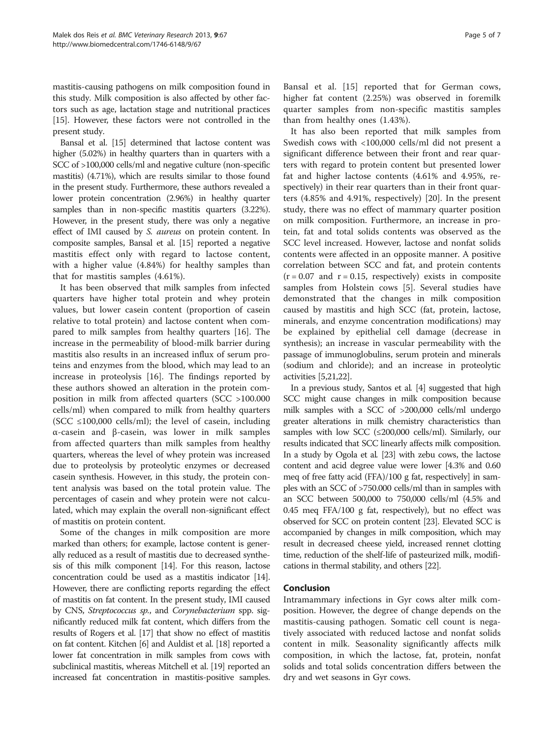mastitis-causing pathogens on milk composition found in this study. Milk composition is also affected by other factors such as age, lactation stage and nutritional practices [[15](#page-6-0)]. However, these factors were not controlled in the present study.

Bansal et al. [\[15\]](#page-6-0) determined that lactose content was higher (5.02%) in healthy quarters than in quarters with a SCC of >100,000 cells/ml and negative culture (non-specific mastitis) (4.71%), which are results similar to those found in the present study. Furthermore, these authors revealed a lower protein concentration (2.96%) in healthy quarter samples than in non-specific mastitis quarters (3.22%). However, in the present study, there was only a negative effect of IMI caused by S. aureus on protein content. In composite samples, Bansal et al. [[15\]](#page-6-0) reported a negative mastitis effect only with regard to lactose content, with a higher value (4.84%) for healthy samples than that for mastitis samples (4.61%).

It has been observed that milk samples from infected quarters have higher total protein and whey protein values, but lower casein content (proportion of casein relative to total protein) and lactose content when compared to milk samples from healthy quarters [[16\]](#page-6-0). The increase in the permeability of blood-milk barrier during mastitis also results in an increased influx of serum proteins and enzymes from the blood, which may lead to an increase in proteolysis [[16\]](#page-6-0). The findings reported by these authors showed an alteration in the protein composition in milk from affected quarters (SCC >100.000 cells/ml) when compared to milk from healthy quarters (SCC  $\leq$ 100,000 cells/ml); the level of casein, including α-casein and β-casein, was lower in milk samples from affected quarters than milk samples from healthy quarters, whereas the level of whey protein was increased due to proteolysis by proteolytic enzymes or decreased casein synthesis. However, in this study, the protein content analysis was based on the total protein value. The percentages of casein and whey protein were not calculated, which may explain the overall non-significant effect of mastitis on protein content.

Some of the changes in milk composition are more marked than others; for example, lactose content is generally reduced as a result of mastitis due to decreased synthesis of this milk component [\[14](#page-6-0)]. For this reason, lactose concentration could be used as a mastitis indicator [\[14](#page-6-0)]. However, there are conflicting reports regarding the effect of mastitis on fat content. In the present study, IMI caused by CNS, Streptococcus sp., and Corynebacterium spp. significantly reduced milk fat content, which differs from the results of Rogers et al. [\[17\]](#page-6-0) that show no effect of mastitis on fat content. Kitchen [[6](#page-6-0)] and Auldist et al. [\[18](#page-6-0)] reported a lower fat concentration in milk samples from cows with subclinical mastitis, whereas Mitchell et al. [[19](#page-6-0)] reported an increased fat concentration in mastitis-positive samples.

Bansal et al. [[15\]](#page-6-0) reported that for German cows, higher fat content (2.25%) was observed in foremilk quarter samples from non-specific mastitis samples than from healthy ones (1.43%).

It has also been reported that milk samples from Swedish cows with <100,000 cells/ml did not present a significant difference between their front and rear quarters with regard to protein content but presented lower fat and higher lactose contents (4.61% and 4.95%, respectively) in their rear quarters than in their front quarters (4.85% and 4.91%, respectively) [\[20](#page-6-0)]. In the present study, there was no effect of mammary quarter position on milk composition. Furthermore, an increase in protein, fat and total solids contents was observed as the SCC level increased. However, lactose and nonfat solids contents were affected in an opposite manner. A positive correlation between SCC and fat, and protein contents  $(r = 0.07$  and  $r = 0.15$ , respectively) exists in composite samples from Holstein cows [\[5](#page-6-0)]. Several studies have demonstrated that the changes in milk composition caused by mastitis and high SCC (fat, protein, lactose, minerals, and enzyme concentration modifications) may be explained by epithelial cell damage (decrease in synthesis); an increase in vascular permeability with the passage of immunoglobulins, serum protein and minerals (sodium and chloride); and an increase in proteolytic activities [\[5,21,22](#page-6-0)].

In a previous study, Santos et al. [\[4\]](#page-6-0) suggested that high SCC might cause changes in milk composition because milk samples with a SCC of >200,000 cells/ml undergo greater alterations in milk chemistry characteristics than samples with low SCC (≤200,000 cells/ml). Similarly, our results indicated that SCC linearly affects milk composition. In a study by Ogola et al. [\[23\]](#page-6-0) with zebu cows, the lactose content and acid degree value were lower [4.3% and 0.60 meq of free fatty acid (FFA)/100 g fat, respectively] in samples with an SCC of >750.000 cells/ml than in samples with an SCC between 500,000 to 750,000 cells/ml (4.5% and 0.45 meq FFA/100 g fat, respectively), but no effect was observed for SCC on protein content [\[23\]](#page-6-0). Elevated SCC is accompanied by changes in milk composition, which may result in decreased cheese yield, increased rennet clotting time, reduction of the shelf-life of pasteurized milk, modifications in thermal stability, and others [[22](#page-6-0)].

### Conclusion

Intramammary infections in Gyr cows alter milk composition. However, the degree of change depends on the mastitis-causing pathogen. Somatic cell count is negatively associated with reduced lactose and nonfat solids content in milk. Seasonality significantly affects milk composition, in which the lactose, fat, protein, nonfat solids and total solids concentration differs between the dry and wet seasons in Gyr cows.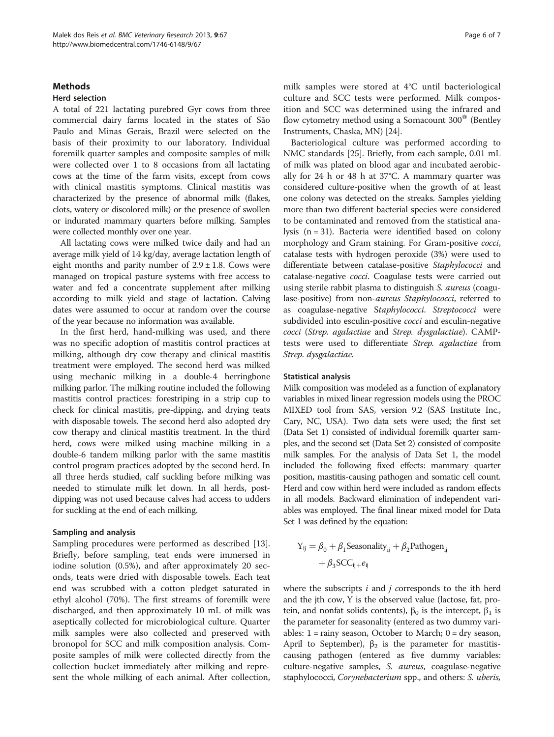## **Methods**

# Herd selection

A total of 221 lactating purebred Gyr cows from three commercial dairy farms located in the states of São Paulo and Minas Gerais, Brazil were selected on the basis of their proximity to our laboratory. Individual foremilk quarter samples and composite samples of milk were collected over 1 to 8 occasions from all lactating cows at the time of the farm visits, except from cows with clinical mastitis symptoms. Clinical mastitis was characterized by the presence of abnormal milk (flakes, clots, watery or discolored milk) or the presence of swollen or indurated mammary quarters before milking. Samples were collected monthly over one year.

All lactating cows were milked twice daily and had an average milk yield of 14 kg/day, average lactation length of eight months and parity number of  $2.9 \pm 1.8$ . Cows were managed on tropical pasture systems with free access to water and fed a concentrate supplement after milking according to milk yield and stage of lactation. Calving dates were assumed to occur at random over the course of the year because no information was available.

In the first herd, hand-milking was used, and there was no specific adoption of mastitis control practices at milking, although dry cow therapy and clinical mastitis treatment were employed. The second herd was milked using mechanic milking in a double-4 herringbone milking parlor. The milking routine included the following mastitis control practices: forestriping in a strip cup to check for clinical mastitis, pre-dipping, and drying teats with disposable towels. The second herd also adopted dry cow therapy and clinical mastitis treatment. In the third herd, cows were milked using machine milking in a double-6 tandem milking parlor with the same mastitis control program practices adopted by the second herd. In all three herds studied, calf suckling before milking was needed to stimulate milk let down. In all herds, postdipping was not used because calves had access to udders for suckling at the end of each milking.

# Sampling and analysis

Sampling procedures were performed as described [\[13](#page-6-0)]. Briefly, before sampling, teat ends were immersed in iodine solution (0.5%), and after approximately 20 seconds, teats were dried with disposable towels. Each teat end was scrubbed with a cotton pledget saturated in ethyl alcohol (70%). The first streams of foremilk were discharged, and then approximately 10 mL of milk was aseptically collected for microbiological culture. Quarter milk samples were also collected and preserved with bronopol for SCC and milk composition analysis. Composite samples of milk were collected directly from the collection bucket immediately after milking and represent the whole milking of each animal. After collection, milk samples were stored at 4°C until bacteriological culture and SCC tests were performed. Milk composition and SCC was determined using the infrared and flow cytometry method using a Somacount  $300^{\circ}$  (Bentley Instruments, Chaska, MN) [[24](#page-6-0)].

Bacteriological culture was performed according to NMC standards [\[25](#page-6-0)]. Briefly, from each sample, 0.01 mL of milk was plated on blood agar and incubated aerobically for 24 h or 48 h at 37°C. A mammary quarter was considered culture-positive when the growth of at least one colony was detected on the streaks. Samples yielding more than two different bacterial species were considered to be contaminated and removed from the statistical analysis (n = 31). Bacteria were identified based on colony morphology and Gram staining. For Gram-positive cocci, catalase tests with hydrogen peroxide (3%) were used to differentiate between catalase-positive Staphylococci and catalase-negative cocci. Coagulase tests were carried out using sterile rabbit plasma to distinguish S. aureus (coagulase-positive) from non-aureus Staphylococci, referred to as coagulase-negative Staphylococci. Streptococci were subdivided into esculin-positive *cocci* and esculin-negative cocci (Strep. agalactiae and Strep. dysgalactiae). CAMPtests were used to differentiate Strep. agalactiae from Strep. dysgalactiae.

#### Statistical analysis

Milk composition was modeled as a function of explanatory variables in mixed linear regression models using the PROC MIXED tool from SAS, version 9.2 (SAS Institute Inc., Cary, NC, USA). Two data sets were used; the first set (Data Set 1) consisted of individual foremilk quarter samples, and the second set (Data Set 2) consisted of composite milk samples. For the analysis of Data Set 1, the model included the following fixed effects: mammary quarter position, mastitis-causing pathogen and somatic cell count. Herd and cow within herd were included as random effects in all models. Backward elimination of independent variables was employed. The final linear mixed model for Data Set 1 was defined by the equation:

$$
\begin{aligned} Y_{ij} = \beta_0 + \beta_1 \text{Seasonality}_{ij} + \beta_2 \text{Pathogen}_{ij} \\ + \beta_3 \text{SCC}_{ij+} e_{ij} \end{aligned}
$$

where the subscripts  $i$  and  $j$  corresponds to the ith herd and the jth cow, Y is the observed value (lactose, fat, protein, and nonfat solids contents),  $β_0$  is the intercept,  $β_1$  is the parameter for seasonality (entered as two dummy variables:  $1 = \text{rainy season}$ , October to March;  $0 = \text{dry season}$ , April to September),  $β_2$  is the parameter for mastitiscausing pathogen (entered as five dummy variables: culture-negative samples, S. aureus, coagulase-negative staphylococci, Corynebacterium spp., and others: S. uberis,